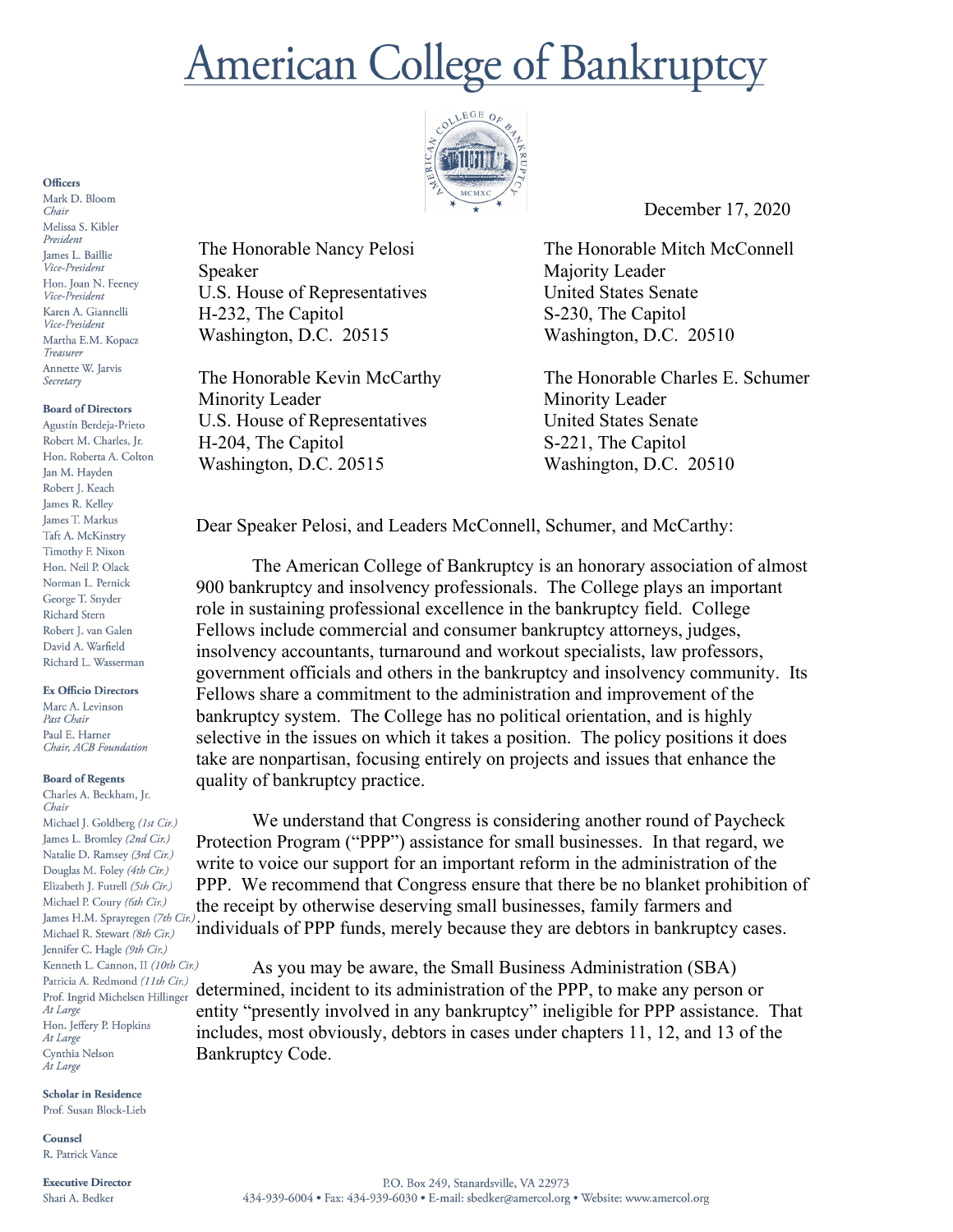# **American College of Bankruptcy**



December 17, 2020

The Honorable Nancy Pelosi Speaker U.S. House of Representatives H-232, The Capitol Washington, D.C. 20515

The Honorable Kevin McCarthy Minority Leader U.S. House of Representatives H-204, The Capitol Washington, D.C. 20515

The Honorable Mitch McConnell Majority Leader United States Senate S-230, The Capitol Washington, D.C. 20510

The Honorable Charles E. Schumer Minority Leader United States Senate S-221, The Capitol Washington, D.C. 20510

Dear Speaker Pelosi, and Leaders McConnell, Schumer, and McCarthy:

The American College of Bankruptcy is an honorary association of almost 900 bankruptcy and insolvency professionals. The College plays an important role in sustaining professional excellence in the bankruptcy field. College Fellows include commercial and consumer bankruptcy attorneys, judges, insolvency accountants, turnaround and workout specialists, law professors, government officials and others in the bankruptcy and insolvency community. Its Fellows share a commitment to the administration and improvement of the bankruptcy system. The College has no political orientation, and is highly selective in the issues on which it takes a position. The policy positions it does take are nonpartisan, focusing entirely on projects and issues that enhance the quality of bankruptcy practice.

We understand that Congress is considering another round of Paycheck Protection Program ("PPP") assistance for small businesses. In that regard, we write to voice our support for an important reform in the administration of the PPP. We recommend that Congress ensure that there be no blanket prohibition of the receipt by otherwise deserving small businesses, family farmers and individuals of PPP funds, merely because they are debtors in bankruptcy cases.

As you may be aware, the Small Business Administration (SBA) determined, incident to its administration of the PPP, to make any person or entity "presently involved in any bankruptcy" ineligible for PPP assistance. That includes, most obviously, debtors in cases under chapters 11, 12, and 13 of the Bankruptcy Code.

### **Officers**

Mark D. Bloom Chair Melissa S. Kibler President James L. Baillie Vice-President Hon. Joan N. Feeney Vice-President Karen A. Giannelli Vice-President Martha E.M. Kopacz Treasurer Annette W. Jarvis Secretary

## **Board of Directors**

Agustín Berdeja-Prieto Robert M. Charles, Jr. Hon. Roberta A. Colton Jan M. Hayden Robert J. Keach James R. Kelley James T. Markus Taft A. McKinstry Timothy F. Nixon Hon. Neil P. Olack Norman L. Pernick George T. Snyder Richard Stern Robert J. van Galen David A. Warfield Richard L. Wasserman

### **Ex Officio Directors**

Marc A. Levinson Past Chair Paul E. Harner Chair, ACB Foundation

## **Board of Regents**

Charles A. Beckham, Jr. Chair Michael J. Goldberg (1st Cir.) James L. Bromley (2nd Cir.) Natalie D. Ramsey (3rd Cir.) Douglas M. Foley (4th Cir.) Elizabeth J. Futrell (5th Cir.) Michael P. Coury (6th Cir.) James H.M. Sprayregen (7th Cir.) Michael R. Stewart (8th Cir.) Jennifer C. Hagle (9th Cir.) Kenneth L. Cannon, II (10th Cir.) Patricia A. Redmond (11th Cir.) Prof. Ingrid Michelsen Hillinger At Large Hon. Jeffery P. Hopkins At Large Cynthia Nelson At Large

**Scholar in Residence** Prof. Susan Block-Lieb

Counsel R. Patrick Vance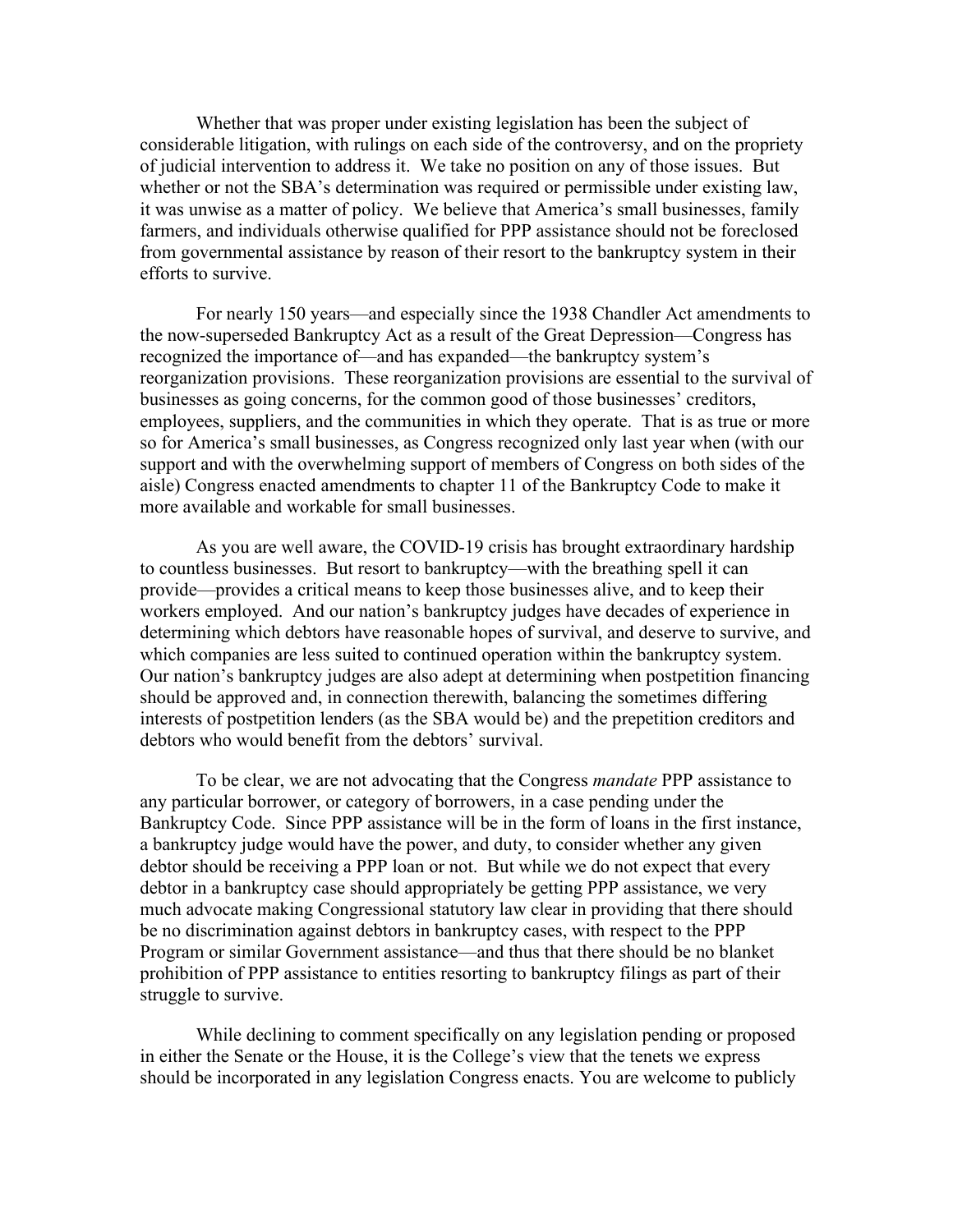Whether that was proper under existing legislation has been the subject of considerable litigation, with rulings on each side of the controversy, and on the propriety of judicial intervention to address it. We take no position on any of those issues. But whether or not the SBA's determination was required or permissible under existing law, it was unwise as a matter of policy. We believe that America's small businesses, family farmers, and individuals otherwise qualified for PPP assistance should not be foreclosed from governmental assistance by reason of their resort to the bankruptcy system in their efforts to survive.

For nearly 150 years—and especially since the 1938 Chandler Act amendments to the now-superseded Bankruptcy Act as a result of the Great Depression—Congress has recognized the importance of—and has expanded—the bankruptcy system's reorganization provisions. These reorganization provisions are essential to the survival of businesses as going concerns, for the common good of those businesses' creditors, employees, suppliers, and the communities in which they operate. That is as true or more so for America's small businesses, as Congress recognized only last year when (with our support and with the overwhelming support of members of Congress on both sides of the aisle) Congress enacted amendments to chapter 11 of the Bankruptcy Code to make it more available and workable for small businesses.

As you are well aware, the COVID-19 crisis has brought extraordinary hardship to countless businesses. But resort to bankruptcy—with the breathing spell it can provide—provides a critical means to keep those businesses alive, and to keep their workers employed. And our nation's bankruptcy judges have decades of experience in determining which debtors have reasonable hopes of survival, and deserve to survive, and which companies are less suited to continued operation within the bankruptcy system. Our nation's bankruptcy judges are also adept at determining when postpetition financing should be approved and, in connection therewith, balancing the sometimes differing interests of postpetition lenders (as the SBA would be) and the prepetition creditors and debtors who would benefit from the debtors' survival.

To be clear, we are not advocating that the Congress *mandate* PPP assistance to any particular borrower, or category of borrowers, in a case pending under the Bankruptcy Code. Since PPP assistance will be in the form of loans in the first instance, a bankruptcy judge would have the power, and duty, to consider whether any given debtor should be receiving a PPP loan or not. But while we do not expect that every debtor in a bankruptcy case should appropriately be getting PPP assistance, we very much advocate making Congressional statutory law clear in providing that there should be no discrimination against debtors in bankruptcy cases, with respect to the PPP Program or similar Government assistance—and thus that there should be no blanket prohibition of PPP assistance to entities resorting to bankruptcy filings as part of their struggle to survive.

While declining to comment specifically on any legislation pending or proposed in either the Senate or the House, it is the College's view that the tenets we express should be incorporated in any legislation Congress enacts. You are welcome to publicly